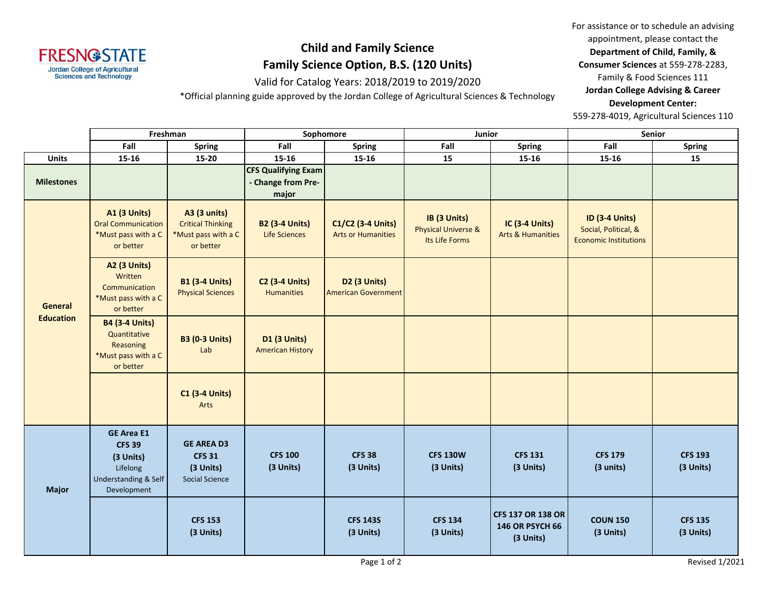

## **Child and Family Science Family Science Option, B.S. (120 Units)**

Valid for Catalog Years: 2018/2019 to 2019/2020

\*Official planning guide approved by the Jordan College of Agricultural Sciences & Technology

For assistance or to schedule an advising appointment, please contact the **Department of Child, Family, & Consumer Sciences** at 559-278-2283, Family & Food Sciences 111 **Jordan College Advising & Career Development Center:**

559-278-4019, Agricultural Sciences 110

|                                    | Freshman                                                                                           |                                                                                     | Sophomore                                                 |                                                        | Junior                                                           |                                                          | Senior                                                                        |                             |
|------------------------------------|----------------------------------------------------------------------------------------------------|-------------------------------------------------------------------------------------|-----------------------------------------------------------|--------------------------------------------------------|------------------------------------------------------------------|----------------------------------------------------------|-------------------------------------------------------------------------------|-----------------------------|
|                                    | Fall                                                                                               | <b>Spring</b>                                                                       | Fall                                                      | <b>Spring</b>                                          | Fall                                                             | <b>Spring</b>                                            | Fall                                                                          | <b>Spring</b>               |
| <b>Units</b>                       | 15-16                                                                                              | $15 - 20$                                                                           | $15 - 16$                                                 | $15 - 16$                                              | 15                                                               | $15 - 16$                                                | $15 - 16$                                                                     | 15                          |
| <b>Milestones</b>                  |                                                                                                    |                                                                                     | <b>CFS Qualifying Exam</b><br>- Change from Pre-<br>major |                                                        |                                                                  |                                                          |                                                                               |                             |
| <b>General</b><br><b>Education</b> | <b>A1 (3 Units)</b><br><b>Oral Communication</b><br>*Must pass with a C<br>or better               | <b>A3 (3 units)</b><br><b>Critical Thinking</b><br>*Must pass with a C<br>or better | <b>B2 (3-4 Units)</b><br>Life Sciences                    | C1/C2 (3-4 Units)<br><b>Arts or Humanities</b>         | IB (3 Units)<br><b>Physical Universe &amp;</b><br>Its Life Forms | <b>IC (3-4 Units)</b><br><b>Arts &amp; Humanities</b>    | <b>ID (3-4 Units)</b><br>Social, Political, &<br><b>Economic Institutions</b> |                             |
|                                    | <b>A2 (3 Units)</b><br>Written<br>Communication<br>*Must pass with a C<br>or better                | <b>B1 (3-4 Units)</b><br><b>Physical Sciences</b>                                   | <b>C2 (3-4 Units)</b><br><b>Humanities</b>                | D <sub>2</sub> (3 Units)<br><b>American Government</b> |                                                                  |                                                          |                                                                               |                             |
|                                    | <b>B4 (3-4 Units)</b><br>Quantitative<br>Reasoning<br>*Must pass with a C<br>or better             | <b>B3 (0-3 Units)</b><br>Lab                                                        | <b>D1 (3 Units)</b><br><b>American History</b>            |                                                        |                                                                  |                                                          |                                                                               |                             |
|                                    |                                                                                                    | <b>C1 (3-4 Units)</b><br>Arts                                                       |                                                           |                                                        |                                                                  |                                                          |                                                                               |                             |
| <b>Major</b>                       | <b>GE Area E1</b><br><b>CFS 39</b><br>(3 Units)<br>Lifelong<br>Understanding & Self<br>Development | <b>GE AREA D3</b><br><b>CFS 31</b><br>(3 Units)<br><b>Social Science</b>            | <b>CFS 100</b><br>(3 Units)                               | <b>CFS 38</b><br>(3 Units)                             | <b>CFS 130W</b><br>(3 Units)                                     | <b>CFS 131</b><br>(3 Units)                              | <b>CFS 179</b><br>(3 units)                                                   | <b>CFS 193</b><br>(3 Units) |
|                                    |                                                                                                    | <b>CFS 153</b><br>(3 Units)                                                         |                                                           | <b>CFS 143S</b><br>(3 Units)                           | <b>CFS 134</b><br>(3 Units)                                      | <b>CFS 137 OR 138 OR</b><br>146 OR PSYCH 66<br>(3 Units) | <b>COUN 150</b><br>(3 Units)                                                  | <b>CFS 135</b><br>(3 Units) |